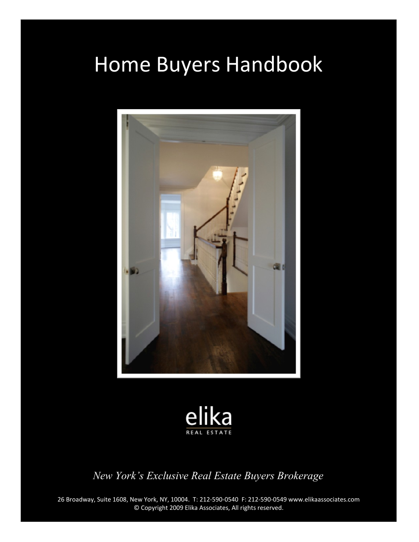# Home Buyers Handbook





*New York's Exclusive Real Estate Buyers Brokerage*

26 Broadway, Suite 1608, New York, NY, 10004. T: 212-590-0540 F: 212-590-0549 www.elikaassociates.com © Copyright 2009 Elika Associates, All rights reserved.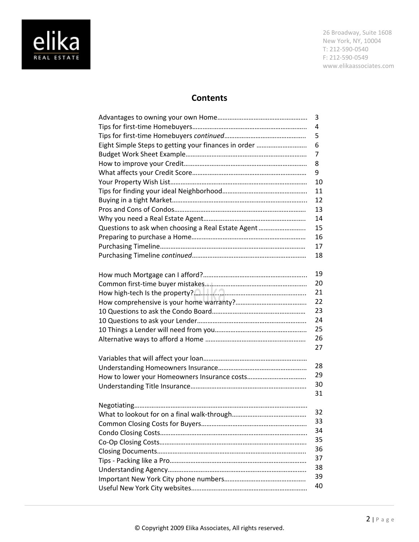

### **Contents**

|                                                      | 3  |
|------------------------------------------------------|----|
|                                                      | 4  |
|                                                      | 5  |
| Eight Simple Steps to getting your finances in order | 6  |
|                                                      | 7  |
|                                                      | 8  |
|                                                      | 9  |
|                                                      | 10 |
|                                                      | 11 |
|                                                      | 12 |
|                                                      | 13 |
|                                                      | 14 |
| Questions to ask when choosing a Real Estate Agent   | 15 |
|                                                      | 16 |
|                                                      | 17 |
|                                                      | 18 |
|                                                      | 19 |
|                                                      | 20 |
|                                                      | 21 |
|                                                      | 22 |
|                                                      | 23 |
|                                                      | 24 |
|                                                      | 25 |
|                                                      | 26 |
|                                                      | 27 |
|                                                      |    |
|                                                      | 28 |
|                                                      | 29 |
|                                                      | 30 |
|                                                      | 31 |
|                                                      |    |
|                                                      | 32 |
|                                                      | 33 |
|                                                      | 34 |
|                                                      | 35 |
|                                                      | 36 |
|                                                      | 37 |
|                                                      | 38 |
|                                                      | 39 |
|                                                      | 40 |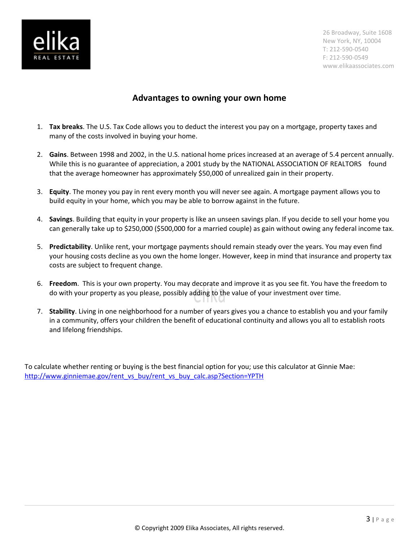

### **Advantages to owning your own home**

- 1. **Tax breaks**. The U.S. Tax Code allows you to deduct the interest you pay on a mortgage, property taxes and many of the costs involved in buying your home.
- 2. **Gains**. Between 1998 and 2002, in the U.S. national home prices increased at an average of 5.4 percent annually. While this is no guarantee of appreciation, a 2001 study by the NATIONAL ASSOCIATION OF REALTORS  $^{\circledast}$  found that the average homeowner has approximately \$50,000 of unrealized gain in their property.
- 3. **Equity**. The money you pay in rent every month you will never see again. A mortgage payment allows you to build equity in your home, which you may be able to borrow against in the future.
- 4. **Savings**. Building that equity in your property is like an unseen savings plan. If you decide to sell your home you can generally take up to \$250,000 (\$500,000 for a married couple) as gain without owing any federal income tax.
- 5. **Predictability**. Unlike rent, your mortgage payments should remain steady over the years. You may even find your housing costs decline as you own the home longer. However, keep in mind that insurance and property tax costs are subject to frequent change.
- 6. **Freedom**. This is your own property. You may decorate and improve it as you see fit. You have the freedom to do with your property as you please, possibly adding to the value of your investment over time.
- 7. **Stability**. Living in one neighborhood for a number of years gives you a chance to establish you and your family in a community, offers your children the benefit of educational continuity and allows you all to establish roots and lifelong friendships.

To calculate whether renting or buying is the best financial option for you; use this calculator at Ginnie Mae: [http://www.ginniemae.gov/rent\\_vs\\_buy/rent\\_vs\\_buy\\_calc.asp?Section=YPTH](http://www.ginniemae.gov/rent_vs_buy/rent_vs_buy_calc.asp?Section=YPTH)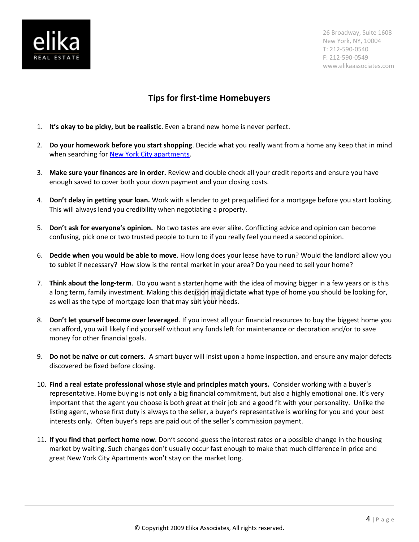

# **Tips for first-time Homebuyers**

- 1. **It's okay to be picky, but be realistic**. Even a brand new home is never perfect.
- 2. **Do your homework before you start shopping**. Decide what you really want from a home any keep that in mind when searching for **New York City apartments**.
- 3. **Make sure your finances are in order.** Review and double check all your credit reports and ensure you have enough saved to cover both your down payment and your closing costs.
- 4. **Don't delay in getting your loan.** Work with a lender to get prequalified for a mortgage before you start looking. This will always lend you credibility when negotiating a property.
- 5. **Don't ask for everyone's opinion.** No two tastes are ever alike. Conflicting advice and opinion can become confusing, pick one or two trusted people to turn to if you really feel you need a second opinion.
- 6. **Decide when you would be able to move**. How long does your lease have to run? Would the landlord allow you to sublet if necessary? How slow is the rental market in your area? Do you need to sell your home?
- 7. **Think about the long-term**. Do you want a starter home with the idea of moving bigger in a few years or is this a long term, family investment. Making this decision may dictate what type of home you should be looking for, as well as the type of mortgage loan that may suit your needs.
- 8. **Don't let yourself become over leveraged**. If you invest all your financial resources to buy the biggest home you can afford, you will likely find yourself without any funds left for maintenance or decoration and/or to save money for other financial goals.
- 9. **Do not be naïve or cut corners.** A smart buyer will insist upon a home inspection, and ensure any major defects discovered be fixed before closing.
- 10. **Find a real estate professional whose style and principles match yours.** Consider working with a buyer's representative. Home buying is not only a big financial commitment, but also a highly emotional one. It's very important that the agent you choose is both great at their job and a good fit with your personality. Unlike the listing agent, whose first duty is always to the seller, a buyer's representative is working for you and your best interests only. Often buyer's reps are paid out of the seller's commission payment.
- 11. **If you find that perfect home now**. Don't second-guess the interest rates or a possible change in the housing market by waiting. Such changes don't usually occur fast enough to make that much difference in price and great New York City Apartments won't stay on the market long.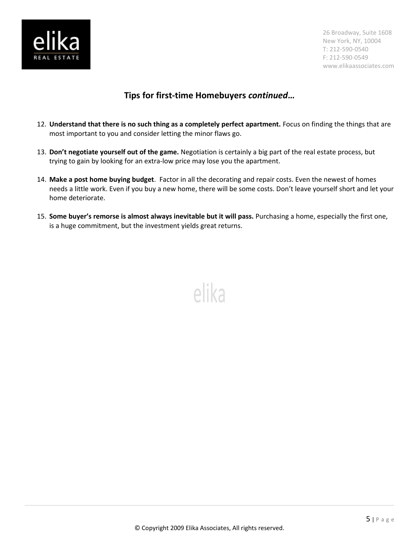

# **Tips for first-time Homebuyers** *continued***…**

- 12. **Understand that there is no such thing as a completely perfect apartment.** Focus on finding the things that are most important to you and consider letting the minor flaws go.
- 13. **Don't negotiate yourself out of the game.** Negotiation is certainly a big part of the real estate process, but trying to gain by looking for an extra-low price may lose you the apartment.
- 14. **Make a post home buying budget**. Factor in all the decorating and repair costs. Even the newest of homes needs a little work. Even if you buy a new home, there will be some costs. Don't leave yourself short and let your home deteriorate.
- 15. **Some buyer's remorse is almost always inevitable but it will pass.** Purchasing a home, especially the first one, is a huge commitment, but the investment yields great returns.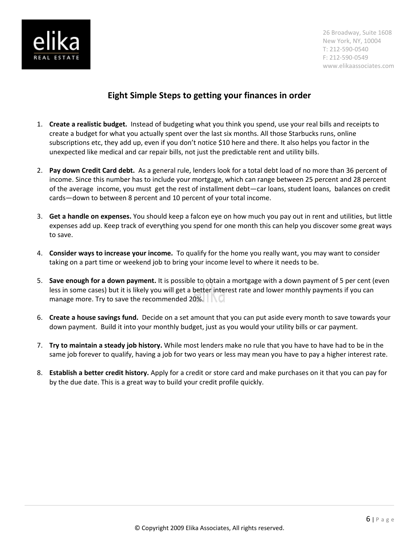

# **Eight Simple Steps to getting your finances in order**

- 1. **Create a realistic budget.** Instead of budgeting what you think you spend, use your real bills and receipts to create a budget for what you actually spent over the last six months. All those Starbucks runs, online subscriptions etc, they add up, even if you don't notice \$10 here and there. It also helps you factor in the unexpected like medical and car repair bills, not just the predictable rent and utility bills.
- 2. **Pay down Credit Card debt.** As a general rule, lenders look for a total debt load of no more than 36 percent of income. Since this number has to include your mortgage, which can range between 25 percent and 28 percent of the average income, you must get the rest of installment debt—car loans, student loans, balances on credit cards—down to between 8 percent and 10 percent of your total income.
- 3. **Get a handle on expenses.** You should keep a falcon eye on how much you pay out in rent and utilities, but little expenses add up. Keep track of everything you spend for one month this can help you discover some great ways to save.
- 4. **Consider ways to increase your income.** To qualify for the home you really want, you may want to consider taking on a part time or weekend job to bring your income level to where it needs to be.
- 5. **Save enough for a down payment.** It is possible to obtain a mortgage with a down payment of 5 per cent (even less in some cases) but it is likely you will get a better interest rate and lower monthly payments if you can manage more. Try to save the recommended 20%.
- 6. **Create a house savings fund.** Decide on a set amount that you can put aside every month to save towards your down payment. Build it into your monthly budget, just as you would your utility bills or car payment.
- 7. **Try to maintain a steady job history.** While most lenders make no rule that you have to have had to be in the same job forever to qualify, having a job for two years or less may mean you have to pay a higher interest rate.
- 8. **Establish a better credit history.** Apply for a credit or store card and make purchases on it that you can pay for by the due date. This is a great way to build your credit profile quickly.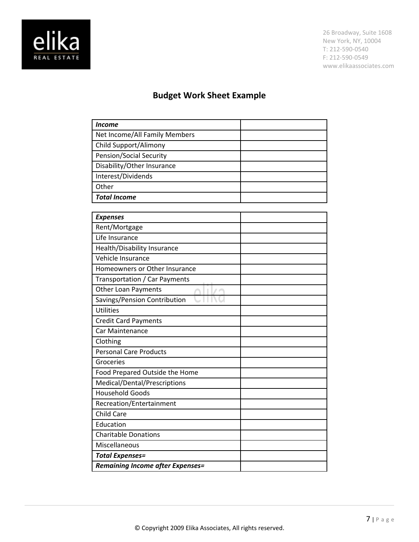

# **Budget Work Sheet Example**

| <b>Expenses</b>                         |  |
|-----------------------------------------|--|
| Rent/Mortgage                           |  |
| Life Insurance                          |  |
| Health/Disability Insurance             |  |
| Vehicle Insurance                       |  |
| Homeowners or Other Insurance           |  |
| Transportation / Car Payments           |  |
| Other Loan Payments                     |  |
| Savings/Pension Contribution            |  |
| <b>Utilities</b>                        |  |
| <b>Credit Card Payments</b>             |  |
| Car Maintenance                         |  |
| Clothing                                |  |
| <b>Personal Care Products</b>           |  |
| Groceries                               |  |
| Food Prepared Outside the Home          |  |
| Medical/Dental/Prescriptions            |  |
| <b>Household Goods</b>                  |  |
| Recreation/Entertainment                |  |
| <b>Child Care</b>                       |  |
| Education                               |  |
| <b>Charitable Donations</b>             |  |
| Miscellaneous                           |  |
| <b>Total Expenses=</b>                  |  |
| <b>Remaining Income after Expenses=</b> |  |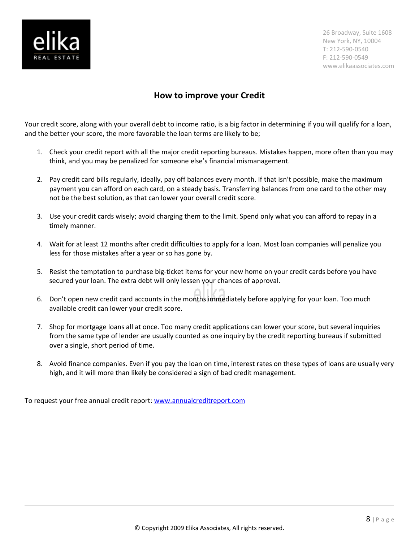

### **How to improve your Credit**

Your credit score, along with your overall debt to income ratio, is a big factor in determining if you will qualify for a loan, and the better your score, the more favorable the loan terms are likely to be;

- 1. Check your credit report with all the major credit reporting bureaus. Mistakes happen, more often than you may think, and you may be penalized for someone else's financial mismanagement.
- 2. Pay credit card bills regularly, ideally, pay off balances every month. If that isn't possible, make the maximum payment you can afford on each card, on a steady basis. Transferring balances from one card to the other may not be the best solution, as that can lower your overall credit score.
- 3. Use your credit cards wisely; avoid charging them to the limit. Spend only what you can afford to repay in a timely manner.
- 4. Wait for at least 12 months after credit difficulties to apply for a loan. Most loan companies will penalize you less for those mistakes after a year or so has gone by.
- 5. Resist the temptation to purchase big-ticket items for your new home on your credit cards before you have secured your loan. The extra debt will only lessen your chances of approval.
- 6. Don't open new credit card accounts in the months immediately before applying for your loan. Too much available credit can lower your credit score.
- 7. Shop for mortgage loans all at once. Too many credit applications can lower your score, but several inquiries from the same type of lender are usually counted as one inquiry by the credit reporting bureaus if submitted over a single, short period of time.
- 8. Avoid finance companies. Even if you pay the loan on time, interest rates on these types of loans are usually very high, and it will more than likely be considered a sign of bad credit management.

To request your free annual credit report: [www.annualcreditreport.com](http://www.annualcreditreport.com/)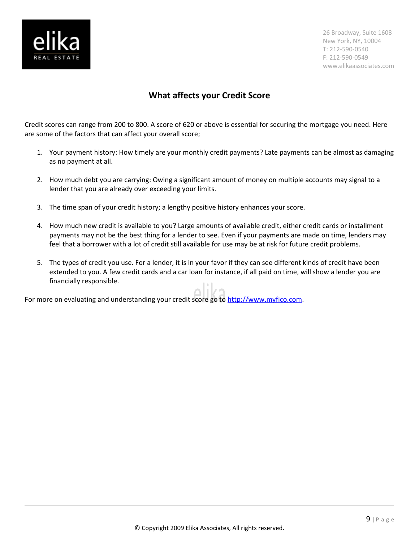

# **What affects your Credit Score**

Credit scores can range from 200 to 800. A score of 620 or above is essential for securing the mortgage you need. Here are some of the factors that can affect your overall score;

- 1. Your payment history: How timely are your monthly credit payments? Late payments can be almost as damaging as no payment at all.
- 2. How much debt you are carrying: Owing a significant amount of money on multiple accounts may signal to a lender that you are already over exceeding your limits.
- 3. The time span of your credit history; a lengthy positive history enhances your score.
- 4. How much new credit is available to you? Large amounts of available credit, either credit cards or installment payments may not be the best thing for a lender to see. Even if your payments are made on time, lenders may feel that a borrower with a lot of credit still available for use may be at risk for future credit problems.
- 5. The types of credit you use. For a lender, it is in your favor if they can see different kinds of credit have been extended to you. A few credit cards and a car loan for instance, if all paid on time, will show a lender you are financially responsible.

For more on evaluating and understanding your credit score go to [http://www.myfico.com.](http://www.myfico.com/)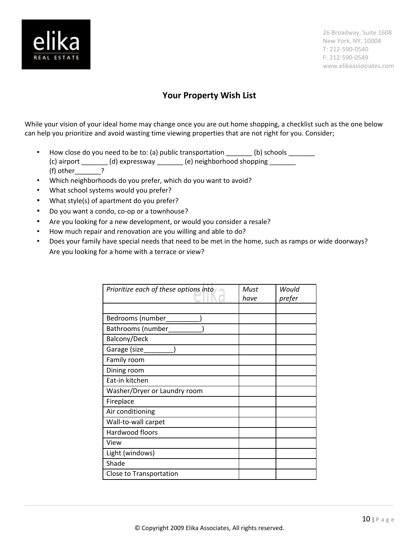

### **Your Property Wish List**

While your vision of your ideal home may change once you are out home shopping, a checklist such as the one below can help you prioritize and avoid wasting time viewing properties that are not right for you. Consider;

- How close do you need to be to: (a) public transportation \_\_\_\_\_\_\_ (b) schools \_\_\_\_\_\_\_ (c) airport  $\frac{1}{\sqrt{2}}$  (d) expressway  $\frac{1}{\sqrt{2}}$  (e) neighborhood shopping  $\frac{1}{\sqrt{2}}$ (f) other  $\rule{1em}{0.15mm}$  ?
- Which neighborhoods do you prefer, which do you want to avoid?
- What school systems would you prefer?
- What style(s) of apartment do you prefer?
- Do you want a condo, co-op or a townhouse?
- Are you looking for a new development, or would you consider a resale?
- How much repair and renovation are you willing and able to do?
- Does your family have special needs that need to be met in the home, such as ramps or wide doorways? Are you looking for a home with a terrace or view?

| Prioritize each of these options into | Must<br>have | Would<br>prefer |
|---------------------------------------|--------------|-----------------|
|                                       |              |                 |
| Bedrooms (number                      |              |                 |
| Bathrooms (number                     |              |                 |
| Balcony/Deck                          |              |                 |
| Garage (size                          |              |                 |
| Family room                           |              |                 |
| Dining room                           |              |                 |
| Eat-in kitchen                        |              |                 |
| Washer/Dryer or Laundry room          |              |                 |
| Fireplace                             |              |                 |
| Air conditioning                      |              |                 |
| Wall-to-wall carpet                   |              |                 |
| Hardwood floors                       |              |                 |
| View                                  |              |                 |
| Light (windows)                       |              |                 |
| Shade                                 |              |                 |
| Close to Transportation               |              |                 |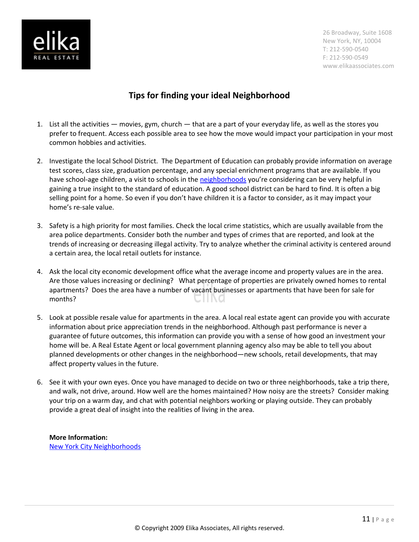

# **Tips for finding your ideal Neighborhood**

- 1. List all the activities movies, gym, church that are a part of your everyday life, as well as the stores you prefer to frequent. Access each possible area to see how the move would impact your participation in your most common hobbies and activities.
- 2. Investigate the local School District. The Department of Education can probably provide information on average test scores, class size, graduation percentage, and any special enrichment programs that are available. If you have school-age children, a visit to schools in the [neighborhoods](http://www.elikaassociates.com/nyc-neighborhood-guide.php) you're considering can be very helpful in gaining a true insight to the standard of education. A good school district can be hard to find. It is often a big selling point for a home. So even if you don't have children it is a factor to consider, as it may impact your home's re-sale value.
- 3. Safety is a high priority for most families. Check the local crime statistics, which are usually available from the area police departments. Consider both the number and types of crimes that are reported, and look at the trends of increasing or decreasing illegal activity. Try to analyze whether the criminal activity is centered around a certain area, the local retail outlets for instance.
- 4. Ask the local city economic development office what the average income and property values are in the area. Are those values increasing or declining? What percentage of properties are privately owned homes to rental apartments? Does the area have a number of vacant businesses or apartments that have been for sale for months?
- 5. Look at possible resale value for apartments in the area. A local real estate agent can provide you with accurate information about price appreciation trends in the neighborhood. Although past performance is never a guarantee of future outcomes, this information can provide you with a sense of how good an investment your home will be. A Real Estate Agent or local government planning agency also may be able to tell you about planned developments or other changes in the neighborhood—new schools, retail developments, that may affect property values in the future.
- 6. See it with your own eyes. Once you have managed to decide on two or three neighborhoods, take a trip there, and walk, not drive, around. How well are the homes maintained? How noisy are the streets? Consider making your trip on a warm day, and chat with potential neighbors working or playing outside. They can probably provide a great deal of insight into the realities of living in the area.

### **More Information:** [New York City Neighborhoods](http://www.elikaassociates.com/nyc-neighborhood-guide.php)

© Copyright 2009 Elika Associates, All rights reserved.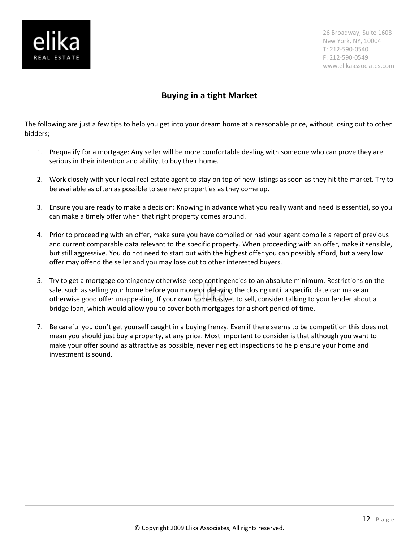

# **Buying in a tight Market**

The following are just a few tips to help you get into your dream home at a reasonable price, without losing out to other bidders;

- 1. Prequalify for a mortgage: Any seller will be more comfortable dealing with someone who can prove they are serious in their intention and ability, to buy their home.
- 2. Work closely with your local real estate agent to stay on top of new listings as soon as they hit the market. Try to be available as often as possible to see new properties as they come up.
- 3. Ensure you are ready to make a decision: Knowing in advance what you really want and need is essential, so you can make a timely offer when that right property comes around.
- 4. Prior to proceeding with an offer, make sure you have complied or had your agent compile a report of previous and current comparable data relevant to the specific property. When proceeding with an offer, make it sensible, but still aggressive. You do not need to start out with the highest offer you can possibly afford, but a very low offer may offend the seller and you may lose out to other interested buyers.
- 5. Try to get a mortgage contingency otherwise keep contingencies to an absolute minimum. Restrictions on the sale, such as selling your home before you move or delaying the closing until a specific date can make an otherwise good offer unappealing. If your own home has yet to sell, consider talking to your lender about a bridge loan, which would allow you to cover both mortgages for a short period of time.
- 7. Be careful you don't get yourself caught in a buying frenzy. Even if there seems to be competition this does not mean you should just buy a property, at any price. Most important to consider is that although you want to make your offer sound as attractive as possible, never neglect inspections to help ensure your home and investment is sound.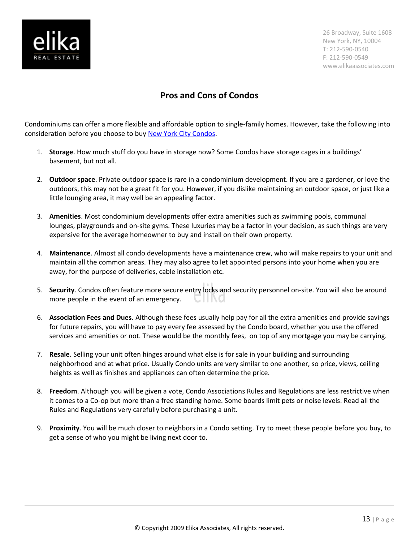

# **Pros and Cons of Condos**

Condominiums can offer a more flexible and affordable option to single-family homes. However, take the following into consideration before you choose to buy [New York City Condos.](http://www.elikaassociates.com/condo_vs_coop.php)

- 1. **Storage**. How much stuff do you have in storage now? Some Condos have storage cages in a buildings' basement, but not all.
- 2. **Outdoor space**. Private outdoor space is rare in a condominium development. If you are a gardener, or love the outdoors, this may not be a great fit for you. However, if you dislike maintaining an outdoor space, or just like a little lounging area, it may well be an appealing factor.
- 3. **Amenities**. Most condominium developments offer extra amenities such as swimming pools, communal lounges, playgrounds and on-site gyms. These luxuries may be a factor in your decision, as such things are very expensive for the average homeowner to buy and install on their own property.
- 4. **Maintenance**. Almost all condo developments have a maintenance crew, who will make repairs to your unit and maintain all the common areas. They may also agree to let appointed persons into your home when you are away, for the purpose of deliveries, cable installation etc.
- 5. **Security**. Condos often feature more secure entry locks and security personnel on-site. You will also be around more people in the event of an emergency.
- 6. **Association Fees and Dues.** Although these fees usually help pay for all the extra amenities and provide savings for future repairs, you will have to pay every fee assessed by the Condo board, whether you use the offered services and amenities or not. These would be the monthly fees, on top of any mortgage you may be carrying.
- 7. **Resale**. Selling your unit often hinges around what else is for sale in your building and surrounding neighborhood and at what price. Usually Condo units are very similar to one another, so price, views, ceiling heights as well as finishes and appliances can often determine the price.
- 8. **Freedom**. Although you will be given a vote, Condo Associations Rules and Regulations are less restrictive when it comes to a Co-op but more than a free standing home. Some boards limit pets or noise levels. Read all the Rules and Regulations very carefully before purchasing a unit.
- 9. **Proximity**. You will be much closer to neighbors in a Condo setting. Try to meet these people before you buy, to get a sense of who you might be living next door to.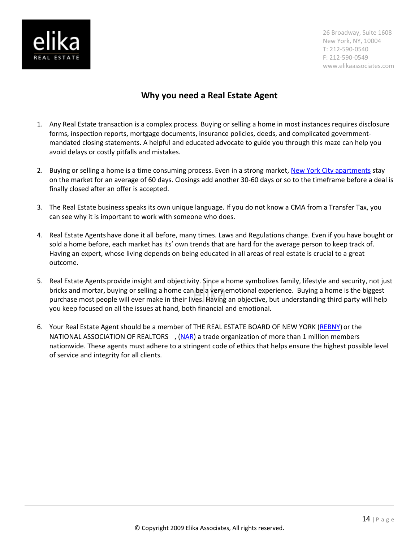

# **Why you need a Real Estate Agent**

- 1. Any Real Estate transaction is a complex process. Buying or selling a home in most instances requires disclosure forms, inspection reports, mortgage documents, insurance policies, deeds, and complicated governmentmandated closing statements. A helpful and educated advocate to guide you through this maze can help you avoid delays or costly pitfalls and mistakes.
- 2. Buying or selling a home is a time consuming process. Even in a strong market, [New York City apartments](http://www.elikaassociates.com/) stay on the market for an average of 60 days. Closings add another 30-60 days or so to the timeframe before a deal is finally closed after an offer is accepted.
- 3. The Real Estate business speaks its own unique language. If you do not know a CMA from a Transfer Tax, you can see why it is important to work with someone who does.
- 4. Real Estate Agents have done it all before, many times. Laws and Regulations change. Even if you have bought or sold a home before, each market has its' own trends that are hard for the average person to keep track of. Having an expert, whose living depends on being educated in all areas of real estate is crucial to a great outcome.
- 5. Real Estate Agents provide insight and objectivity. Since a home symbolizes family, lifestyle and security, not just bricks and mortar, buying or selling a home can be a very emotional experience. Buying a home is the biggest purchase most people will ever make in their lives. Having an objective, but understanding third party will help you keep focused on all the issues at hand, both financial and emotional.
- 6. Your Real Estate Agent should be a member of THE REAL ESTATE BOARD OF NEW YORK [\(REBNY\)](http://www.rebny.com/) or the NATIONAL ASSOCIATION OF REALTORS ®, [\(NAR\)](http://www.realtor.org/) a trade organization of more than 1 million members nationwide. These agents must adhere to a stringent code of ethics that helps ensure the highest possible level of service and integrity for all clients.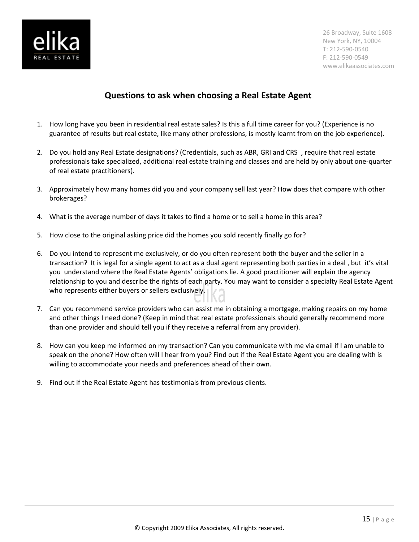

# **Questions to ask when choosing a Real Estate Agent**

- 1. How long have you been in residential real estate sales? Is this a full time career for you? (Experience is no guarantee of results but real estate, like many other professions, is mostly learnt from on the job experience).
- 2. Do you hold any Real Estate designations? (Credentials, such as ABR, GRI and CRS®, require that real estate professionals take specialized, additional real estate training and classes and are held by only about one-quarter of real estate practitioners).
- 3. Approximately how many homes did you and your company sell last year? How does that compare with other brokerages?
- 4. What is the average number of days it takes to find a home or to sell a home in this area?
- 5. How close to the original asking price did the homes you sold recently finally go for?
- 6. Do you intend to represent me exclusively, or do you often represent both the buyer and the seller in a transaction? It is legal for a single agent to act as a dual agent representing both parties in a deal , but it's vital you understand where the Real Estate Agents' obligations lie. A good practitioner will explain the agency relationship to you and describe the rights of each party. You may want to consider a specialty Real Estate Agent who represents either buyers or sellers exclusively.
- 7. Can you recommend service providers who can assist me in obtaining a mortgage, making repairs on my home and other things I need done? (Keep in mind that real estate professionals should generally recommend more than one provider and should tell you if they receive a referral from any provider).
- 8. How can you keep me informed on my transaction? Can you communicate with me via email if I am unable to speak on the phone? How often will I hear from you? Find out if the Real Estate Agent you are dealing with is willing to accommodate your needs and preferences ahead of their own.
- 9. Find out if the Real Estate Agent has testimonials from previous clients.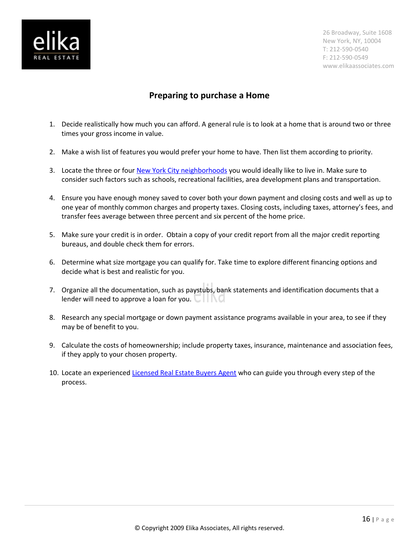

# **Preparing to purchase a Home**

- 1. Decide realistically how much you can afford. A general rule is to look at a home that is around two or three times your gross income in value.
- 2. Make a wish list of features you would prefer your home to have. Then list them according to priority.
- 3. Locate the three or four [New York City neighborhoods](http://www.elikaassociates.com/nyc-neighborhood-guide.php) you would ideally like to live in. Make sure to consider such factors such as schools, recreational facilities, area development plans and transportation.
- 4. Ensure you have enough money saved to cover both your down payment and closing costs and well as up to one year of monthly common charges and property taxes. Closing costs, including taxes, attorney's fees, and transfer fees average between three percent and six percent of the home price.
- 5. Make sure your credit is in order. Obtain a copy of your credit report from all the major credit reporting bureaus, and double check them for errors.
- 6. Determine what size mortgage you can qualify for. Take time to explore different financing options and decide what is best and realistic for you.
- 7. Organize all the documentation, such as paystubs, bank statements and identification documents that a lender will need to approve a loan for you.  $\Box$
- 8. Research any special mortgage or down payment assistance programs available in your area, to see if they may be of benefit to you.
- 9. Calculate the costs of homeownership; include property taxes, insurance, maintenance and association fees, if they apply to your chosen property.
- 10. Locate an experienced [Licensed Real Estate Buyers Agent](http://www.elikaassociates.com/new-york-city-real-estate-agents.php) who can guide you through every step of the process.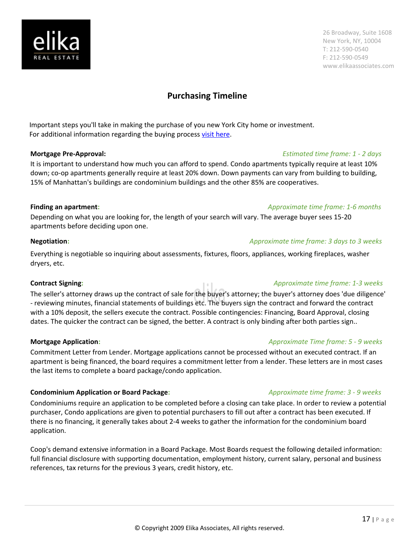# **Purchasing Timeline**

Important steps you'll take in making the purchase of you new York City home or investment. For additional information regarding the buying process [visit here.](http://www.elikaassociates.com/purchasing-process.php)

### **Mortgage Pre-Approval:** *Estimated time frame: 1 - 2 days*

It is important to understand how much you can afford to spend. Condo apartments typically require at least 10% down; co-op apartments generally require at least 20% down. Down payments can vary from building to building, 15% of Manhattan's buildings are condominium buildings and the other 85% are cooperatives.

### **Finding an apartment:** *Approximate time frame: 1-6 months*

Depending on what you are looking for, the length of your search will vary. The average buyer sees 15-20 apartments before deciding upon one.

### **Negotiation:** *Approximate time frame: 3 days to 3 weeks*

Everything is negotiable so inquiring about assessments, fixtures, floors, appliances, working fireplaces, washer dryers, etc.

### **Contract Signing:** *Approximate time frame: 1-3 weeks*

The seller's attorney draws up the contract of sale for the buyer's attorney; the buyer's attorney does 'due diligence' - reviewing minutes, financial statements of buildings etc. The buyers sign the contract and forward the contract with a 10% deposit, the sellers execute the contract. Possible contingencies: Financing, Board Approval, closing dates. The quicker the contract can be signed, the better. A contract is only binding after both parties sign..

Commitment Letter from Lender. Mortgage applications cannot be processed without an executed contract. If an apartment is being financed, the board requires a commitment letter from a lender. These letters are in most cases the last items to complete a board package/condo application.

### **Condominium Application or Board Package:** *<i>Approximate time frame: 3 - 9 weeks*

Condominiums require an application to be completed before a closing can take place. In order to review a potential purchaser, Condo applications are given to potential purchasers to fill out after a contract has been executed. If there is no financing, it generally takes about 2-4 weeks to gather the information for the condominium board application.

Coop's demand extensive information in a Board Package. Most Boards request the following detailed information: full financial disclosure with supporting documentation, employment history, current salary, personal and business references, tax returns for the previous 3 years, credit history, etc.

### **Mortgage Application:** *Approximate Time frame: 5 - 9 weeks*

17 | P a g e



26 Broadway, Suite 1608 New York, NY, 10004 T: 212-590-0540 F: 212-590-0549 www.elikaassociates.com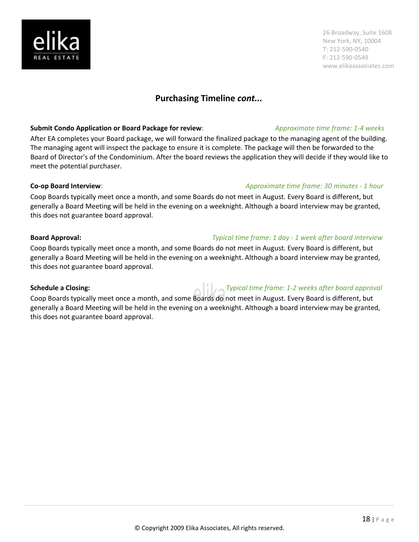# **Purchasing Timeline** *cont...*

### **Submit Condo Application or Board Package for review:** *Approximate time frame: 1-4 weeks*

After EA completes your Board package, we will forward the finalized package to the managing agent of the building. The managing agent will inspect the package to ensure it is complete. The package will then be forwarded to the Board of Director's of the Condominium. After the board reviews the application they will decide if they would like to meet the potential purchaser.

### **Co-op Board Interview:** *Approximate time frame: 30 minutes - 1 hour*

Coop Boards typically meet once a month, and some Boards do not meet in August. Every Board is different, but generally a Board Meeting will be held in the evening on a weeknight. Although a board interview may be granted, this does not guarantee board approval.

### **Board Approval:** *Typical time frame: 1 day - 1 week after board interview*

Coop Boards typically meet once a month, and some Boards do not meet in August. Every Board is different, but generally a Board Meeting will be held in the evening on a weeknight. Although a board interview may be granted, this does not guarantee board approval.

Coop Boards typically meet once a month, and some Boards do not meet in August. Every Board is different, but generally a Board Meeting will be held in the evening on a weeknight. Although a board interview may be granted, this does not guarantee board approval.

26 Broadway, Suite 1608 New York, NY, 10004 T: 212-590-0540 F: 212-590-0549 www.elikaassociates.com

### 18 | P a g e

# **Schedule a Closing:** *Typical time frame: 1-2 weeks after board approval*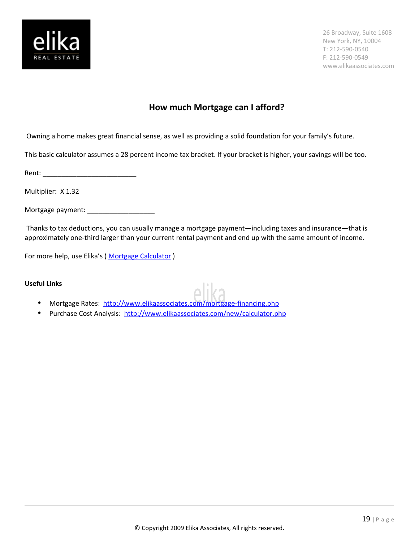

### **How much Mortgage can I afford?**

Owning a home makes great financial sense, as well as providing a solid foundation for your family's future.

This basic calculator assumes a 28 percent income tax bracket. If your bracket is higher, your savings will be too.

Rent: \_\_\_\_\_\_\_\_\_\_\_\_\_\_\_\_\_\_\_\_\_\_\_\_\_

Multiplier: X 1.32

Mortgage payment: \_\_\_\_\_\_\_\_\_\_\_\_\_\_\_\_\_\_

 Thanks to tax deductions, you can usually manage a mortgage payment—including taxes and insurance—that is approximately one-third larger than your current rental payment and end up with the same amount of income.

For more help, use Elika's (Mortgage Calculator)

### **Useful Links**

- Mortgage Rates: <http://www.elikaassociates.com/mortgage-financing.php>
- Purchase Cost Analysis: http://www.elikaassociates.com/new/calculator.php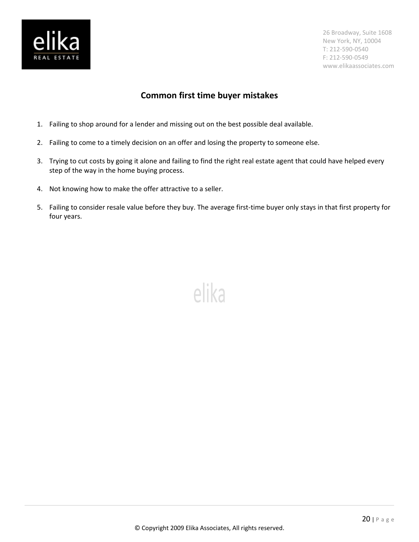

# **Common first time buyer mistakes**

- 1. Failing to shop around for a lender and missing out on the best possible deal available.
- 2. Failing to come to a timely decision on an offer and losing the property to someone else.
- 3. Trying to cut costs by going it alone and failing to find the right real estate agent that could have helped every step of the way in the home buying process.
- 4. Not knowing how to make the offer attractive to a seller.
- 5. Failing to consider resale value before they buy. The average first-time buyer only stays in that first property for four years.

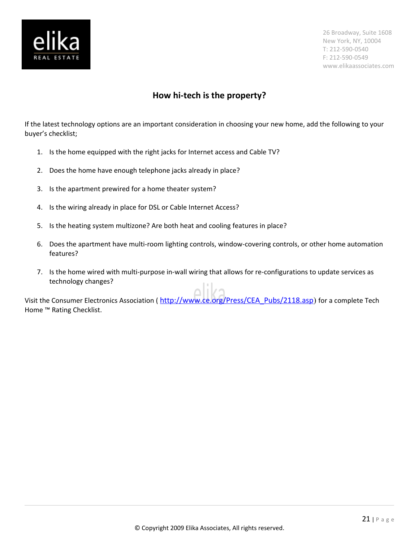

# **How hi-tech is the property?**

If the latest technology options are an important consideration in choosing your new home, add the following to your buyer's checklist;

- 1. Is the home equipped with the right jacks for Internet access and Cable TV?
- 2. Does the home have enough telephone jacks already in place?
- 3. Is the apartment prewired for a home theater system?
- 4. Is the wiring already in place for DSL or Cable Internet Access?
- 5. Is the heating system multizone? Are both heat and cooling features in place?
- 6. Does the apartment have multi-room lighting controls, window-covering controls, or other home automation features?
- 7. Is the home wired with multi-purpose in-wall wiring that allows for re-configurations to update services as technology changes?

Visit the Consumer Electronics Association ([http://www.ce.org/Press/CEA\\_Pubs/2118.asp](http://www.ce.org/Press/CEA_Pubs/2118.asp)) for a complete Tech Home ™ Rating Checklist.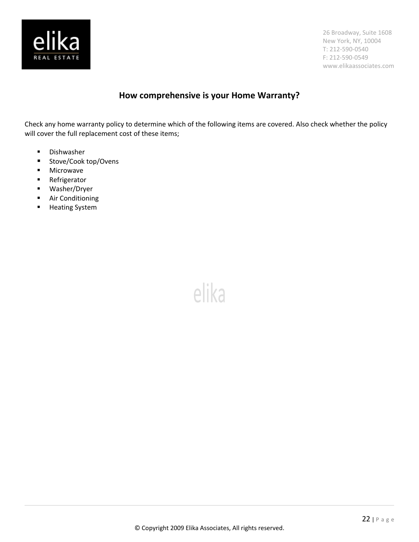

# **How comprehensive is your Home Warranty?**

Check any home warranty policy to determine which of the following items are covered. Also check whether the policy will cover the full replacement cost of these items;

- **-** Dishwasher
- Stove/Cook top/Ovens
- **■** Microwave
- **Refrigerator**
- Washer/Dryer
- **Air Conditioning**
- **-** Heating System

elika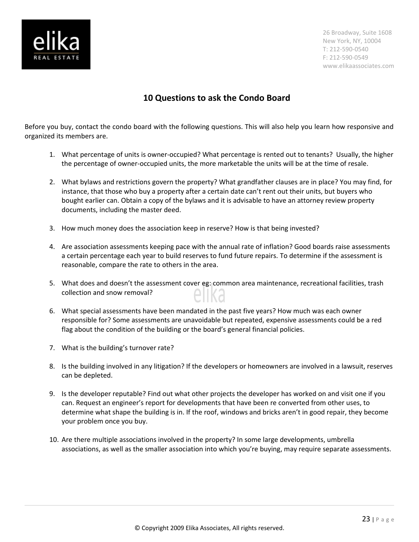

# **10 Questions to ask the Condo Board**

Before you buy, contact the condo board with the following questions. This will also help you learn how responsive and organized its members are.

- 1. What percentage of units is owner-occupied? What percentage is rented out to tenants? Usually, the higher the percentage of owner-occupied units, the more marketable the units will be at the time of resale.
- 2. What bylaws and restrictions govern the property? What grandfather clauses are in place? You may find, for instance, that those who buy a property after a certain date can't rent out their units, but buyers who bought earlier can. Obtain a copy of the bylaws and it is advisable to have an attorney review property documents, including the master deed.
- 3. How much money does the association keep in reserve? How is that being invested?
- 4. Are association assessments keeping pace with the annual rate of inflation? Good boards raise assessments a certain percentage each year to build reserves to fund future repairs. To determine if the assessment is reasonable, compare the rate to others in the area.
- 5. What does and doesn't the assessment cover eg: common area maintenance, recreational facilities, trash collection and snow removal?
- 6. What special assessments have been mandated in the past five years? How much was each owner responsible for? Some assessments are unavoidable but repeated, expensive assessments could be a red flag about the condition of the building or the board's general financial policies.
- 7. What is the building's turnover rate?
- 8. Is the building involved in any litigation? If the developers or homeowners are involved in a lawsuit, reserves can be depleted.
- 9. Is the developer reputable? Find out what other projects the developer has worked on and visit one if you can. Request an engineer's report for developments that have been re converted from other uses, to determine what shape the building is in. If the roof, windows and bricks aren't in good repair, they become your problem once you buy.
- 10. Are there multiple associations involved in the property? In some large developments, umbrella associations, as well as the smaller association into which you're buying, may require separate assessments.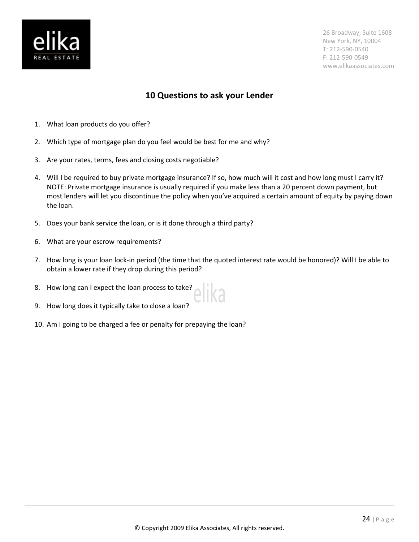

# **10 Questions to ask your Lender**

- 1. What loan products do you offer?
- 2. Which type of mortgage plan do you feel would be best for me and why?
- 3. Are your rates, terms, fees and closing costs negotiable?
- 4. Will I be required to buy private mortgage insurance? If so, how much will it cost and how long must I carry it? NOTE: Private mortgage insurance is usually required if you make less than a 20 percent down payment, but most lenders will let you discontinue the policy when you've acquired a certain amount of equity by paying down the loan.
- 5. Does your bank service the loan, or is it done through a third party?
- 6. What are your escrow requirements?
- 7. How long is your loan lock-in period (the time that the quoted interest rate would be honored)? Will I be able to obtain a lower rate if they drop during this period?
- 8. How long can I expect the loan process to take?
- 9. How long does it typically take to close a loan?
- 10. Am I going to be charged a fee or penalty for prepaying the loan?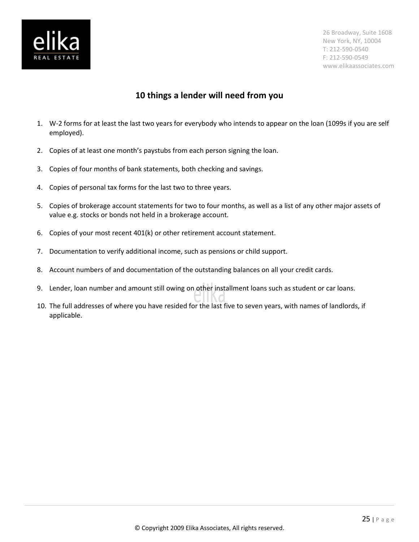

### **10 things a lender will need from you**

- 1. W-2 forms for at least the last two years for everybody who intends to appear on the loan (1099s if you are self employed).
- 2. Copies of at least one month's paystubs from each person signing the loan.
- 3. Copies of four months of bank statements, both checking and savings.
- 4. Copies of personal tax forms for the last two to three years.
- 5. Copies of brokerage account statements for two to four months, as well as a list of any other major assets of value e.g. stocks or bonds not held in a brokerage account.
- 6. Copies of your most recent 401(k) or other retirement account statement.
- 7. Documentation to verify additional income, such as pensions or child support.
- 8. Account numbers of and documentation of the outstanding balances on all your credit cards.
- 9. Lender, loan number and amount still owing on other installment loans such as student or car loans.
- 10. The full addresses of where you have resided for the last five to seven years, with names of landlords, if applicable.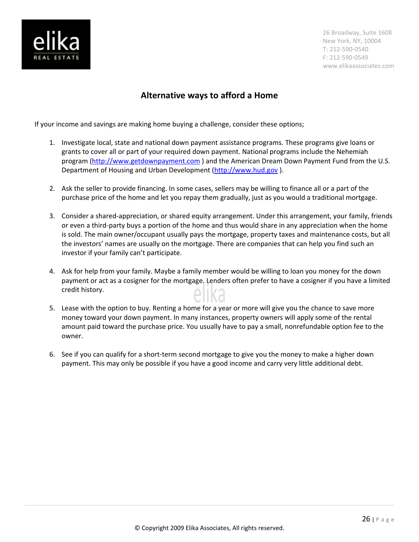

### **Alternative ways to afford a Home**

If your income and savings are making home buying a challenge, consider these options;

- 1. Investigate local, state and national down payment assistance programs. These programs give loans or grants to cover all or part of your required down payment. National programs include the Nehemiah program (http://www.getdownpayment.com) and the American Dream Down Payment Fund from the U.S. Department of Housing and Urban Development (http://www.hud.gov).
- 2. Ask the seller to provide financing. In some cases, sellers may be willing to finance all or a part of the purchase price of the home and let you repay them gradually, just as you would a traditional mortgage.
- 3. Consider a shared-appreciation, or shared equity arrangement. Under this arrangement, your family, friends or even a third-party buys a portion of the home and thus would share in any appreciation when the home is sold. The main owner/occupant usually pays the mortgage, property taxes and maintenance costs, but all the investors' names are usually on the mortgage. There are companies that can help you find such an investor if your family can't participate.
- 4. Ask for help from your family. Maybe a family member would be willing to loan you money for the down payment or act as a cosigner for the mortgage. Lenders often prefer to have a cosigner if you have a limited credit history.
- 5. Lease with the option to buy. Renting a home for a year or more will give you the chance to save more money toward your down payment. In many instances, property owners will apply some of the rental amount paid toward the purchase price. You usually have to pay a small, nonrefundable option fee to the owner.
- 6. See if you can qualify for a short-term second mortgage to give you the money to make a higher down payment. This may only be possible if you have a good income and carry very little additional debt.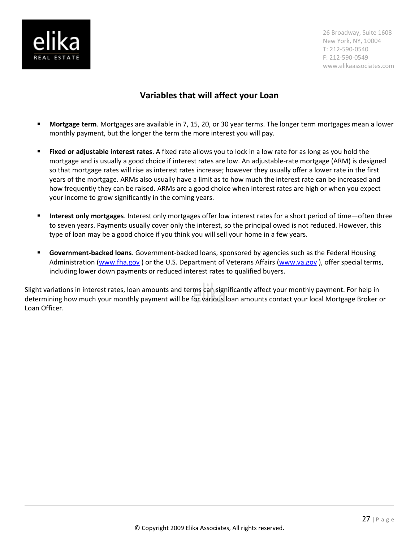

# **Variables that will affect your Loan**

- **Mortgage term**. Mortgages are available in 7, 15, 20, or 30 year terms. The longer term mortgages mean a lower monthly payment, but the longer the term the more interest you will pay.
- **Fixed or adjustable interest rates**. A fixed rate allows you to lock in a low rate for as long as you hold the mortgage and is usually a good choice if interest rates are low. An adjustable-rate mortgage (ARM) is designed so that mortgage rates will rise as interest rates increase; however they usually offer a lower rate in the first years of the mortgage. ARMs also usually have a limit as to how much the interest rate can be increased and how frequently they can be raised. ARMs are a good choice when interest rates are high or when you expect your income to grow significantly in the coming years.
- **Interest only mortgages**. Interest only mortgages offer low interest rates for a short period of time—often three to seven years. Payments usually cover only the interest, so the principal owed is not reduced. However, this type of loan may be a good choice if you think you will sell your home in a few years.
- **Government-backed loans**. Government-backed loans, sponsored by agencies such as the Federal Housing Administration (www.fha.gov) or the U.S. Department of Veterans Affairs (www.va.gov), offer special terms, including lower down payments or reduced interest rates to qualified buyers.

Slight variations in interest rates, loan amounts and terms can significantly affect your monthly payment. For help in determining how much your monthly payment will be for various loan amounts contact your local Mortgage Broker or Loan Officer.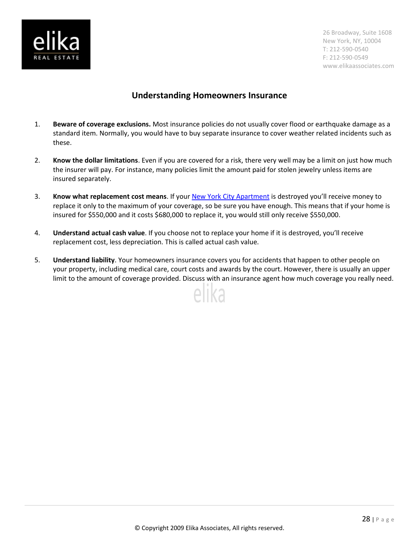

### **Understanding Homeowners Insurance**

- 1. **Beware of coverage exclusions.** Most insurance policies do not usually cover flood or earthquake damage as a standard item. Normally, you would have to buy separate insurance to cover weather related incidents such as these.
- 2. **Know the dollar limitations**. Even if you are covered for a risk, there very well may be a limit on just how much the insurer will pay. For instance, many policies limit the amount paid for stolen jewelry unless items are insured separately.
- 3. **Know what replacement cost means**. If your [New York City Apartment](http://www.elikaassociates.com/) is destroyed you'll receive money to replace it only to the maximum of your coverage, so be sure you have enough. This means that if your home is insured for \$550,000 and it costs \$680,000 to replace it, you would still only receive \$550,000.
- 4. **Understand actual cash value**. If you choose not to replace your home if it is destroyed, you'll receive replacement cost, less depreciation. This is called actual cash value.
- 5. **Understand liability**. Your homeowners insurance covers you for accidents that happen to other people on your property, including medical care, court costs and awards by the court. However, there is usually an upper limit to the amount of coverage provided. Discuss with an insurance agent how much coverage you really need.

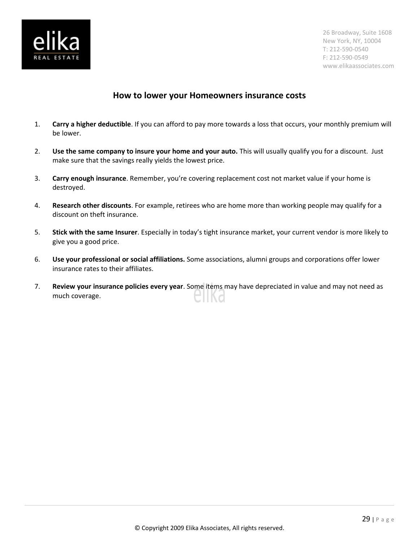

### **How to lower your Homeowners insurance costs**

- 1. **Carry a higher deductible**. If you can afford to pay more towards a loss that occurs, your monthly premium will be lower.
- 2. **Use the same company to insure your home and your auto.** This will usually qualify you for a discount. Just make sure that the savings really yields the lowest price.
- 3. **Carry enough insurance**. Remember, you're covering replacement cost not market value if your home is destroyed.
- 4. **Research other discounts**. For example, retirees who are home more than working people may qualify for a discount on theft insurance.
- 5. **Stick with the same Insurer**. Especially in today's tight insurance market, your current vendor is more likely to give you a good price.
- 6. **Use your professional or social affiliations.** Some associations, alumni groups and corporations offer lower insurance rates to their affiliates.
- 7. **Review your insurance policies every year**. Some items may have depreciated in value and may not need as much coverage. N O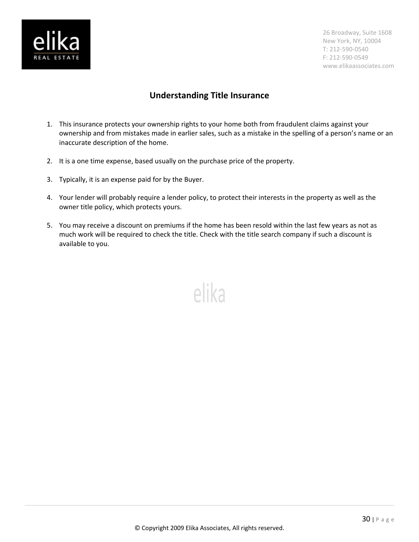

# **Understanding Title Insurance**

- 1. This insurance protects your ownership rights to your home both from fraudulent claims against your ownership and from mistakes made in earlier sales, such as a mistake in the spelling of a person's name or an inaccurate description of the home.
- 2. It is a one time expense, based usually on the purchase price of the property.
- 3. Typically, it is an expense paid for by the Buyer.
- 4. Your lender will probably require a lender policy, to protect their interests in the property as well as the owner title policy, which protects yours.
- 5. You may receive a discount on premiums if the home has been resold within the last few years as not as much work will be required to check the title. Check with the title search company if such a discount is available to you.

elika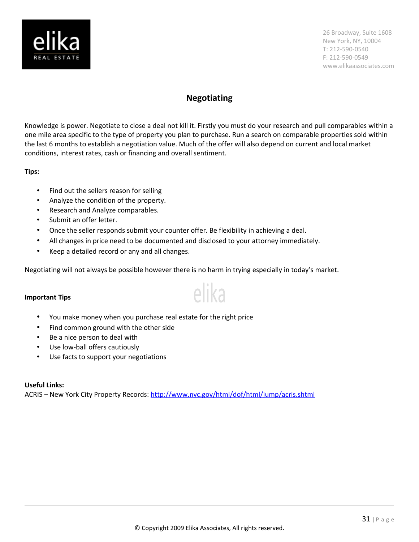

### **Negotiating**

Knowledge is power. Negotiate to close a deal not kill it. Firstly you must do your research and pull comparables within a one mile area specific to the type of property you plan to purchase. Run a search on comparable properties sold within the last 6 months to establish a negotiation value. Much of the offer will also depend on current and local market conditions, interest rates, cash or financing and overall sentiment.

### **Tips:**

- Find out the sellers reason for selling
- Analyze the condition of the property.
- Research and Analyze comparables.
- Submit an offer letter.
- Once the seller responds submit your counter offer. Be flexibility in achieving a deal.
- All changes in price need to be documented and disclosed to your attorney immediately.
- Keep a detailed record or any and all changes.

Negotiating will not always be possible however there is no harm in trying especially in today's market.

elika

### **Important Tips**

- You make money when you purchase real estate for the right price
- Find common ground with the other side
- Be a nice person to deal with
- Use low-ball offers cautiously
- Use facts to support your negotiations

### **Useful Links:**

ACRIS – New York City Property Records:<http://www.nyc.gov/html/dof/html/jump/acris.shtml>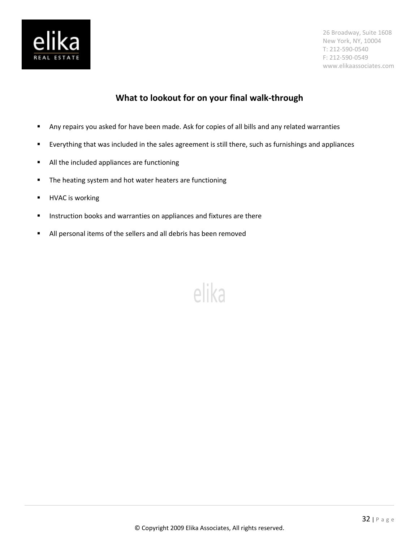

# **What to lookout for on your final walk-through**

elika

- Any repairs you asked for have been made. Ask for copies of all bills and any related warranties
- Everything that was included in the sales agreement is still there, such as furnishings and appliances
- **All the included appliances are functioning**
- **The heating system and hot water heaters are functioning**
- **-** HVAC is working
- **Instruction books and warranties on appliances and fixtures are there**
- All personal items of the sellers and all debris has been removed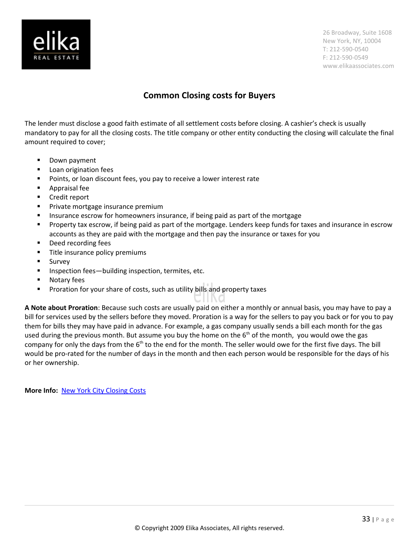

# **Common Closing costs for Buyers**

The lender must disclose a good faith estimate of all settlement costs before closing. A cashier's check is usually mandatory to pay for all the closing costs. The title company or other entity conducting the closing will calculate the final amount required to cover;

- **-** Down payment
- **Loan origination fees**
- **Points, or loan discount fees, you pay to receive a lower interest rate**
- Appraisal fee
- Credit report
- Private mortgage insurance premium
- **Insurance escrow for homeowners insurance, if being paid as part of the mortgage**
- **Property tax escrow, if being paid as part of the mortgage. Lenders keep funds for taxes and insurance in escrow** accounts as they are paid with the mortgage and then pay the insurance or taxes for you
- Deed recording fees
- **Title insurance policy premiums**
- **Survey**
- **Inspection fees—building inspection, termites, etc.**
- **Notary fees**
- **Proration for your share of costs, such as utility bills and property taxes**

**A Note about Proration**: Because such costs are usually paid on either a monthly or annual basis, you may have to pay a bill for services used by the sellers before they moved. Proration is a way for the sellers to pay you back or for you to pay them for bills they may have paid in advance. For example, a gas company usually sends a bill each month for the gas used during the previous month. But assume you buy the home on the  $6<sup>th</sup>$  of the month, you would owe the gas company for only the days from the  $6<sup>th</sup>$  to the end for the month. The seller would owe for the first five days. The bill would be pro-rated for the number of days in the month and then each person would be responsible for the days of his or her ownership.

**More Info:** [New York City Closing Costs](http://www.elikaassociates.com/closing_costs.php)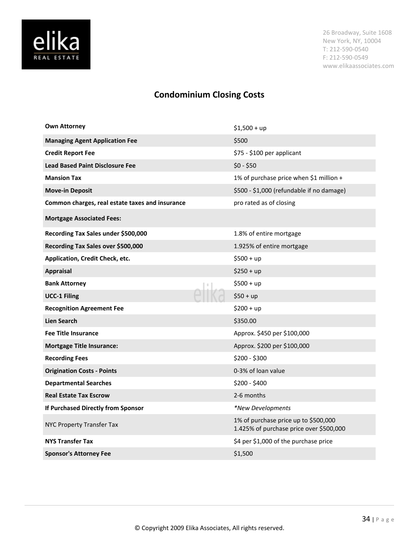

# **Condominium Closing Costs**

| <b>Own Attorney</b>                             | $$1,500 + up$                                                                   |
|-------------------------------------------------|---------------------------------------------------------------------------------|
| <b>Managing Agent Application Fee</b>           | \$500                                                                           |
| <b>Credit Report Fee</b>                        | \$75 - \$100 per applicant                                                      |
| <b>Lead Based Paint Disclosure Fee</b>          | $$0 - $50$                                                                      |
| <b>Mansion Tax</b>                              | 1% of purchase price when \$1 million +                                         |
| <b>Move-in Deposit</b>                          | \$500 - \$1,000 (refundable if no damage)                                       |
| Common charges, real estate taxes and insurance | pro rated as of closing                                                         |
| <b>Mortgage Associated Fees:</b>                |                                                                                 |
| Recording Tax Sales under \$500,000             | 1.8% of entire mortgage                                                         |
| Recording Tax Sales over \$500,000              | 1.925% of entire mortgage                                                       |
| Application, Credit Check, etc.                 | $$500 + up$                                                                     |
| <b>Appraisal</b>                                | $$250 + up$                                                                     |
| <b>Bank Attorney</b>                            | $$500 + up$                                                                     |
| <b>UCC-1 Filing</b>                             | $$50 + up$                                                                      |
| <b>Recognition Agreement Fee</b>                | $$200 + up$                                                                     |
| <b>Lien Search</b>                              | \$350.00                                                                        |
| <b>Fee Title Insurance</b>                      | Approx. \$450 per \$100,000                                                     |
| <b>Mortgage Title Insurance:</b>                | Approx. \$200 per \$100,000                                                     |
| <b>Recording Fees</b>                           | \$200 - \$300                                                                   |
| <b>Origination Costs - Points</b>               | 0-3% of loan value                                                              |
| <b>Departmental Searches</b>                    | \$200 - \$400                                                                   |
| <b>Real Estate Tax Escrow</b>                   | 2-6 months                                                                      |
| If Purchased Directly from Sponsor              | *New Developments                                                               |
| NYC Property Transfer Tax                       | 1% of purchase price up to \$500,000<br>1.425% of purchase price over \$500,000 |
| <b>NYS Transfer Tax</b>                         | \$4 per \$1,000 of the purchase price                                           |
| <b>Sponsor's Attorney Fee</b>                   | \$1,500                                                                         |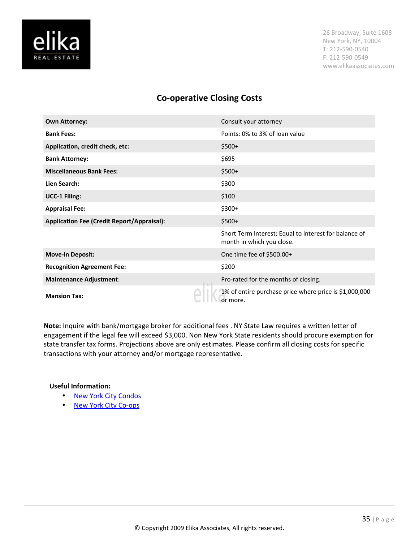

### **Co-operative Closing Costs**

| <b>Own Attorney:</b>                              | Consult your attorney                                                              |
|---------------------------------------------------|------------------------------------------------------------------------------------|
| <b>Bank Fees:</b>                                 | Points: 0% to 3% of loan value                                                     |
| Application, credit check, etc:                   | $$500+$                                                                            |
| <b>Bank Attorney:</b>                             | \$695                                                                              |
| <b>Miscellaneous Bank Fees:</b>                   | $$500+$                                                                            |
| Lien Search:                                      | \$300                                                                              |
| <b>UCC-1 Filing:</b>                              | \$100                                                                              |
| <b>Appraisal Fee:</b>                             | $$300+$                                                                            |
| <b>Application Fee (Credit Report/Appraisal):</b> | $$500+$                                                                            |
|                                                   | Short Term Interest; Equal to interest for balance of<br>month in which you close. |
| <b>Move-in Deposit:</b>                           | One time fee of \$500.00+                                                          |
| <b>Recognition Agreement Fee:</b>                 | \$200                                                                              |
| <b>Maintenance Adjustment:</b>                    | Pro-rated for the months of closing.                                               |
| <b>Mansion Tax:</b>                               | 1% of entire purchase price where price is \$1,000,000<br>or more.                 |

**Note:** Inquire with bank/mortgage broker for additional fees . NY State Law requires a written letter of engagement if the legal fee will exceed \$3,000. Non New York State residents should procure exemption for state transfer tax forms. Projections above are only estimates. Please confirm all closing costs for specific transactions with your attorney and/or mortgage representative.

### **Useful Information:**

- • [New York City Condos](http://www.elikaassociates.com/condo_vs_coop.php)
- • [New York City Co-ops](http://www.elikaassociates.com/condo_vs_coop.php)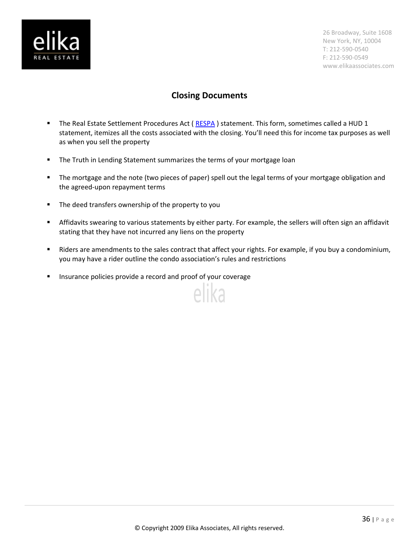

# **Closing Documents**

- The Real Estate Settlement Procedures Act (RESPA) statement. This form, sometimes called a HUD 1 statement, itemizes all the costs associated with the closing. You'll need this for income tax purposes as well as when you sell the property
- **The Truth in Lending Statement summarizes the terms of your mortgage loan**
- **The mortgage and the note (two pieces of paper) spell out the legal terms of your mortgage obligation and** the agreed-upon repayment terms
- **The deed transfers ownership of the property to you**
- Affidavits swearing to various statements by either party. For example, the sellers will often sign an affidavit stating that they have not incurred any liens on the property
- Riders are amendments to the sales contract that affect your rights. For example, if you buy a condominium, you may have a rider outline the condo association's rules and restrictions

elika

**Insurance policies provide a record and proof of your coverage**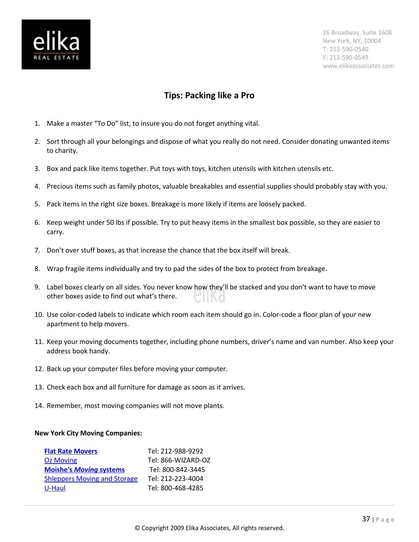

### **Tips: Packing like a Pro**

- 1. Make a master "To Do" list, to insure you do not forget anything vital.
- 2. Sort through all your belongings and dispose of what you really do not need. Consider donating unwanted items to charity.
- 3. Box and pack like items together. Put toys with toys, kitchen utensils with kitchen utensils etc.
- 4. Precious items such as family photos, valuable breakables and essential supplies should probably stay with you.
- 5. Pack items in the right size boxes. Breakage is more likely if items are loosely packed.
- 6. Keep weight under 50 lbs if possible. Try to put heavy items in the smallest box possible, so they are easier to carry.
- 7. Don't over stuff boxes, as that increase the chance that the box itself will break.
- 8. Wrap fragile items individually and try to pad the sides of the box to protect from breakage.
- 9. Label boxes clearly on all sides. You never know how they'll be stacked and you don't want to have to move other boxes aside to find out what's there.
- 10. Use color-coded labels to indicate which room each item should go in. Color-code a floor plan of your new apartment to help movers.
- 11. Keep your moving documents together, including phone numbers, driver's name and van number. Also keep your address book handy.
- 12. Back up your computer files before moving your computer.
- 13. Check each box and all furniture for damage as soon as it arrives.
- 14. Remember, most moving companies will not move plants.

### **New York City Moving Companies:**

| <b>Flat Rate Movers</b>             | Tel: 212-988-9292  |
|-------------------------------------|--------------------|
| <b>Oz Moving</b>                    | Tel: 866-WIZARD-OZ |
| <b>Moishe's Moving systems</b>      | Tel: 800-842-3445  |
| <b>Shleppers Moving and Storage</b> | Tel: 212-223-4004  |
| U-Haul                              | Tel: 800-468-4285  |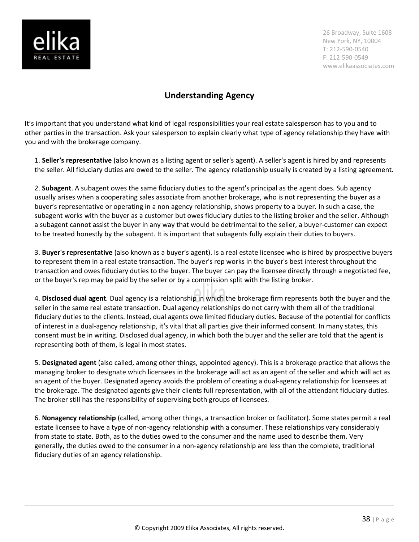

# **Understanding Agency**

It's important that you understand what kind of legal responsibilities your real estate salesperson has to you and to other parties in the transaction. Ask your salesperson to explain clearly what type of agency relationship they have with you and with the brokerage company.

1. **Seller's representative** (also known as a listing agent or seller's agent). A seller's agent is hired by and represents the seller. All fiduciary duties are owed to the seller. The agency relationship usually is created by a listing agreement.

2. **Subagent**. A subagent owes the same fiduciary duties to the agent's principal as the agent does. Sub agency usually arises when a cooperating sales associate from another brokerage, who is not representing the buyer as a buyer's representative or operating in a non agency relationship, shows property to a buyer. In such a case, the subagent works with the buyer as a customer but owes fiduciary duties to the listing broker and the seller. Although a subagent cannot assist the buyer in any way that would be detrimental to the seller, a buyer-customer can expect to be treated honestly by the subagent. It is important that subagents fully explain their duties to buyers.

3. **Buyer's representative** (also known as a buyer's agent). Is a real estate licensee who is hired by prospective buyers to represent them in a real estate transaction. The buyer's rep works in the buyer's best interest throughout the transaction and owes fiduciary duties to the buyer. The buyer can pay the licensee directly through a negotiated fee, or the buyer's rep may be paid by the seller or by a commission split with the listing broker.

4. **Disclosed dual agent***.* Dual agency is a relationship in which the brokerage firm represents both the buyer and the seller in the same real estate transaction. Dual agency relationships do not carry with them all of the traditional fiduciary duties to the clients. Instead, dual agents owe limited fiduciary duties. Because of the potential for conflicts of interest in a dual-agency relationship, it's vital that all parties give their informed consent. In many states, this consent must be in writing. Disclosed dual agency, in which both the buyer and the seller are told that the agent is representing both of them, is legal in most states.

5. **Designated agent** (also called, among other things, appointed agency). This is a brokerage practice that allows the managing broker to designate which licensees in the brokerage will act as an agent of the seller and which will act as an agent of the buyer. Designated agency avoids the problem of creating a dual-agency relationship for licensees at the brokerage. The designated agents give their clients full representation, with all of the attendant fiduciary duties. The broker still has the responsibility of supervising both groups of licensees.

6. **Nonagency relationship** (called, among other things, a transaction broker or facilitator). Some states permit a real estate licensee to have a type of non-agency relationship with a consumer. These relationships vary considerably from state to state. Both, as to the duties owed to the consumer and the name used to describe them. Very generally, the duties owed to the consumer in a non-agency relationship are less than the complete, traditional fiduciary duties of an agency relationship.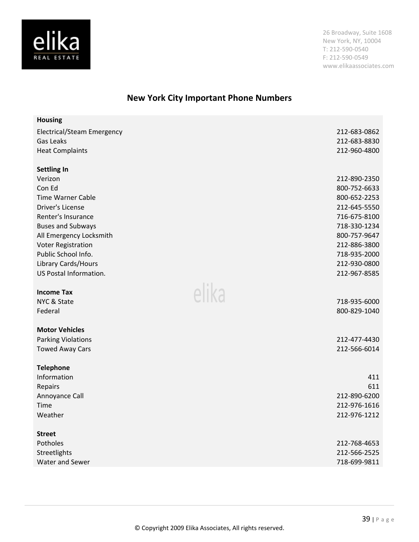

# **New York City Important Phone Numbers**

| <b>Housing</b>                    |              |
|-----------------------------------|--------------|
| <b>Electrical/Steam Emergency</b> | 212-683-0862 |
| <b>Gas Leaks</b>                  | 212-683-8830 |
| <b>Heat Complaints</b>            | 212-960-4800 |
|                                   |              |
| <b>Settling In</b><br>Verizon     | 212-890-2350 |
| Con Ed                            | 800-752-6633 |
| <b>Time Warner Cable</b>          | 800-652-2253 |
| <b>Driver's License</b>           | 212-645-5550 |
| Renter's Insurance                | 716-675-8100 |
| <b>Buses and Subways</b>          | 718-330-1234 |
| All Emergency Locksmith           | 800-757-9647 |
| <b>Voter Registration</b>         | 212-886-3800 |
| Public School Info.               | 718-935-2000 |
| Library Cards/Hours               | 212-930-0800 |
| US Postal Information.            | 212-967-8585 |
| elika<br><b>Income Tax</b>        |              |
| NYC & State                       | 718-935-6000 |
| Federal                           | 800-829-1040 |
|                                   |              |
| <b>Motor Vehicles</b>             |              |
| <b>Parking Violations</b>         | 212-477-4430 |
| <b>Towed Away Cars</b>            | 212-566-6014 |
| <b>Telephone</b>                  |              |
| Information                       | 411          |
| Repairs                           | 611          |
| Annoyance Call                    | 212-890-6200 |
| Time                              | 212-976-1616 |
| Weather                           | 212-976-1212 |
| <b>Street</b>                     |              |
| Potholes                          | 212-768-4653 |
| Streetlights                      | 212-566-2525 |
| Water and Sewer                   | 718-699-9811 |